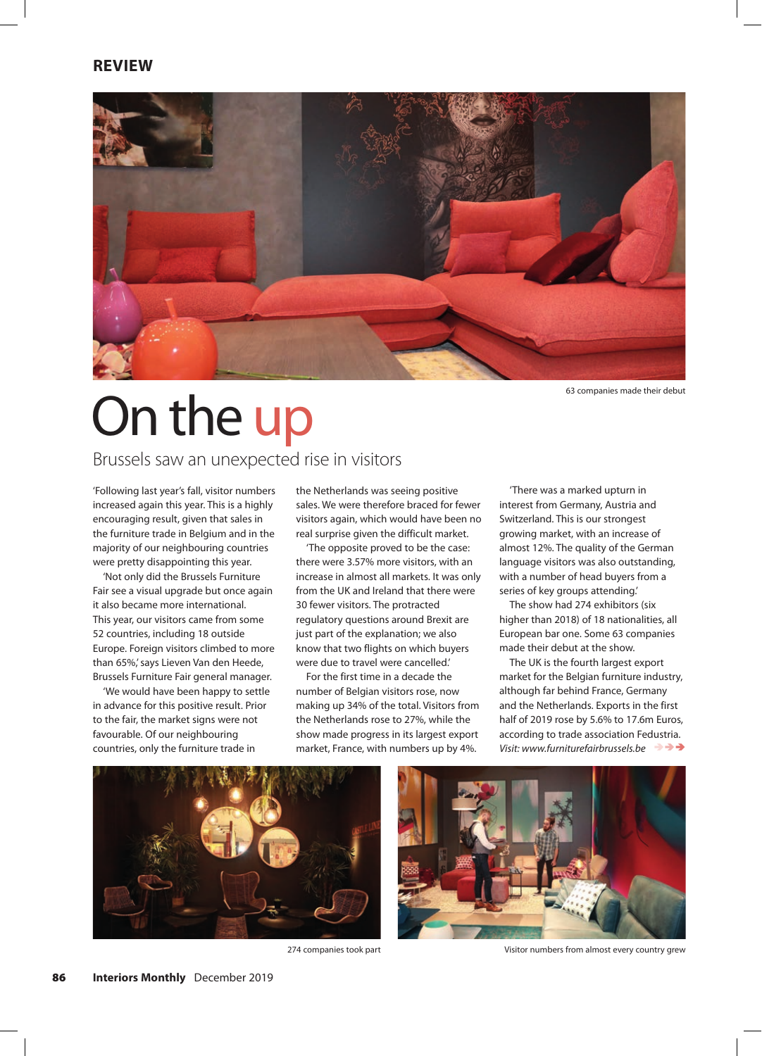

63 companies made their debut

# On the up

### Brussels saw an unexpected rise in visitors

'Following last year's fall, visitor numbers increased again this year. This is a highly encouraging result, given that sales in the furniture trade in Belgium and in the majority of our neighbouring countries were pretty disappointing this year.

'Not only did the Brussels Furniture Fair see a visual upgrade but once again it also became more international. This year, our visitors came from some 52 countries, including 18 outside Europe. Foreign visitors climbed to more than 65%,' says Lieven Van den Heede, Brussels Furniture Fair general manager.

'We would have been happy to settle in advance for this positive result. Prior to the fair, the market signs were not favourable. Of our neighbouring countries, only the furniture trade in

the Netherlands was seeing positive sales. We were therefore braced for fewer visitors again, which would have been no real surprise given the difficult market.

'The opposite proved to be the case: there were 3.57% more visitors, with an increase in almost all markets. It was only from the UK and Ireland that there were 30 fewer visitors. The protracted regulatory questions around Brexit are just part of the explanation; we also know that two flights on which buyers were due to travel were cancelled.'

For the first time in a decade the number of Belgian visitors rose, now making up 34% of the total. Visitors from the Netherlands rose to 27%, while the show made progress in its largest export market, France, with numbers up by 4%.

'There was a marked upturn in interest from Germany, Austria and Switzerland. This is our strongest growing market, with an increase of almost 12%. The quality of the German language visitors was also outstanding, with a number of head buyers from a series of key groups attending.'

The show had 274 exhibitors (six higher than 2018) of 18 nationalities, all European bar one. Some 63 companies made their debut at the show.

The UK is the fourth largest export market for the Belgian furniture industry, although far behind France, Germany and the Netherlands. Exports in the first half of 2019 rose by 5.6% to 17.6m Euros, according to trade association Fedustria. *Visit: www.furniturefairbrussels.be*





274 companies took part Visitor numbers from almost every country grew